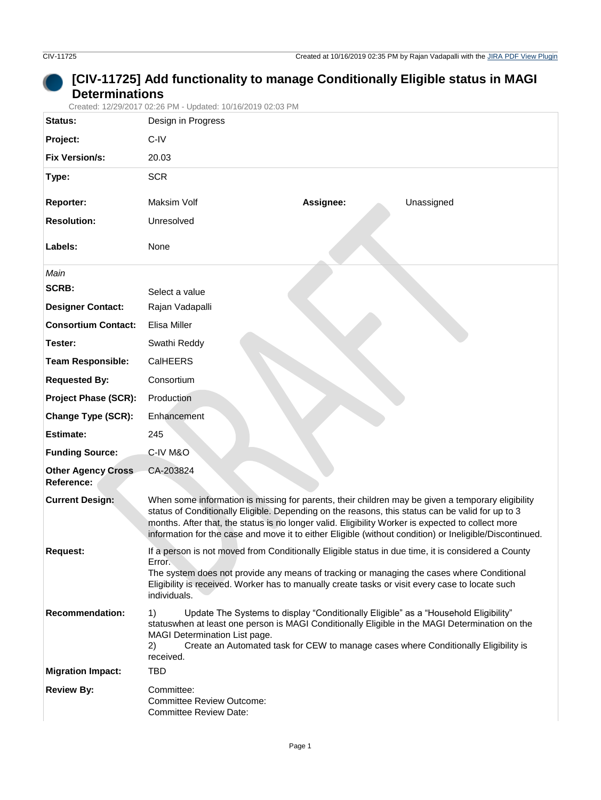## **[CIV-11725] Add functionality to manage Conditionally Eligible status in MAGI Determinations**

Created: 12/29/2017 02:26 PM - Updated: 10/16/2019 02:03 PM

| Status:                                 | Design in Progress                                                                                                                                                                                                                                                                                                                                                                                                    |  |  |  |
|-----------------------------------------|-----------------------------------------------------------------------------------------------------------------------------------------------------------------------------------------------------------------------------------------------------------------------------------------------------------------------------------------------------------------------------------------------------------------------|--|--|--|
| Project:                                | C-IV                                                                                                                                                                                                                                                                                                                                                                                                                  |  |  |  |
| <b>Fix Version/s:</b>                   | 20.03                                                                                                                                                                                                                                                                                                                                                                                                                 |  |  |  |
| Type:                                   | <b>SCR</b>                                                                                                                                                                                                                                                                                                                                                                                                            |  |  |  |
| <b>Reporter:</b>                        | Maksim Volf<br>Assignee:<br>Unassigned                                                                                                                                                                                                                                                                                                                                                                                |  |  |  |
| <b>Resolution:</b>                      | Unresolved                                                                                                                                                                                                                                                                                                                                                                                                            |  |  |  |
| Labels:                                 | None                                                                                                                                                                                                                                                                                                                                                                                                                  |  |  |  |
| Main                                    |                                                                                                                                                                                                                                                                                                                                                                                                                       |  |  |  |
| <b>SCRB:</b>                            | Select a value                                                                                                                                                                                                                                                                                                                                                                                                        |  |  |  |
| <b>Designer Contact:</b>                | Rajan Vadapalli                                                                                                                                                                                                                                                                                                                                                                                                       |  |  |  |
| <b>Consortium Contact:</b>              | Elisa Miller                                                                                                                                                                                                                                                                                                                                                                                                          |  |  |  |
| Tester:                                 | Swathi Reddy                                                                                                                                                                                                                                                                                                                                                                                                          |  |  |  |
| <b>Team Responsible:</b>                | CalHEERS                                                                                                                                                                                                                                                                                                                                                                                                              |  |  |  |
| <b>Requested By:</b>                    | Consortium                                                                                                                                                                                                                                                                                                                                                                                                            |  |  |  |
| <b>Project Phase (SCR):</b>             | Production                                                                                                                                                                                                                                                                                                                                                                                                            |  |  |  |
| Change Type (SCR):                      | Enhancement                                                                                                                                                                                                                                                                                                                                                                                                           |  |  |  |
| <b>Estimate:</b>                        | 245                                                                                                                                                                                                                                                                                                                                                                                                                   |  |  |  |
| <b>Funding Source:</b>                  | C-IV M&O                                                                                                                                                                                                                                                                                                                                                                                                              |  |  |  |
| <b>Other Agency Cross</b><br>Reference: | CA-203824                                                                                                                                                                                                                                                                                                                                                                                                             |  |  |  |
| <b>Current Design:</b>                  | When some information is missing for parents, their children may be given a temporary eligibility<br>status of Conditionally Eligible. Depending on the reasons, this status can be valid for up to 3<br>months. After that, the status is no longer valid. Eligibility Worker is expected to collect more<br>information for the case and move it to either Eligible (without condition) or Ineligible/Discontinued. |  |  |  |
| <b>Request:</b>                         | If a person is not moved from Conditionally Eligible status in due time, it is considered a County<br>Error.<br>The system does not provide any means of tracking or managing the cases where Conditional<br>Eligibility is received. Worker has to manually create tasks or visit every case to locate such<br>individuals.                                                                                          |  |  |  |
| <b>Recommendation:</b>                  | Update The Systems to display "Conditionally Eligible" as a "Household Eligibility"<br>1)<br>statuswhen at least one person is MAGI Conditionally Eligible in the MAGI Determination on the<br>MAGI Determination List page.<br>Create an Automated task for CEW to manage cases where Conditionally Eligibility is<br>2)<br>received.                                                                                |  |  |  |
| <b>Migration Impact:</b>                | <b>TBD</b>                                                                                                                                                                                                                                                                                                                                                                                                            |  |  |  |
| <b>Review By:</b>                       | Committee:<br><b>Committee Review Outcome:</b><br><b>Committee Review Date:</b>                                                                                                                                                                                                                                                                                                                                       |  |  |  |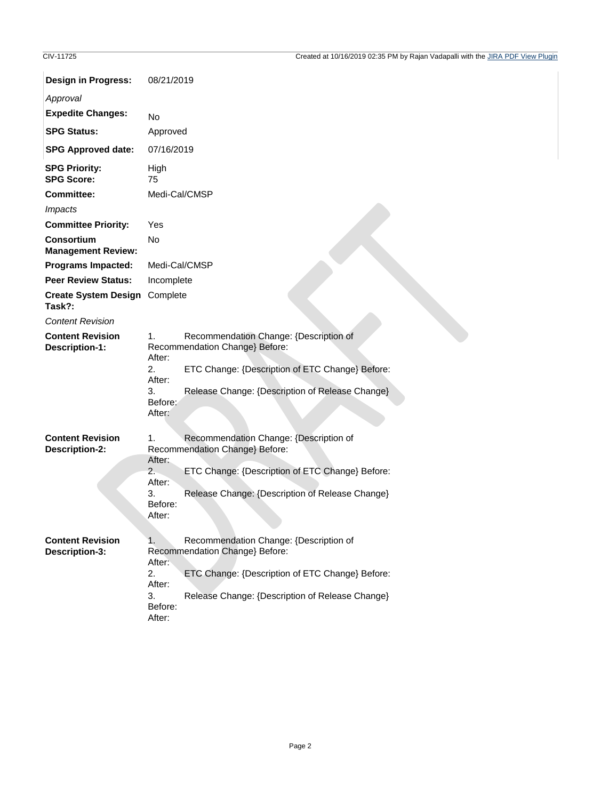| <b>Design in Progress:</b>                       | 08/21/2019                                                                                                                                                                                                                                |  |  |  |
|--------------------------------------------------|-------------------------------------------------------------------------------------------------------------------------------------------------------------------------------------------------------------------------------------------|--|--|--|
| Approval                                         |                                                                                                                                                                                                                                           |  |  |  |
| <b>Expedite Changes:</b>                         | <b>No</b>                                                                                                                                                                                                                                 |  |  |  |
| <b>SPG Status:</b>                               | Approved                                                                                                                                                                                                                                  |  |  |  |
| <b>SPG Approved date:</b>                        | 07/16/2019                                                                                                                                                                                                                                |  |  |  |
| <b>SPG Priority:</b><br><b>SPG Score:</b>        | High<br>75                                                                                                                                                                                                                                |  |  |  |
| <b>Committee:</b>                                | Medi-Cal/CMSP                                                                                                                                                                                                                             |  |  |  |
| <i>Impacts</i>                                   |                                                                                                                                                                                                                                           |  |  |  |
| <b>Committee Priority:</b>                       | Yes                                                                                                                                                                                                                                       |  |  |  |
| <b>Consortium</b><br><b>Management Review:</b>   | <b>No</b>                                                                                                                                                                                                                                 |  |  |  |
| <b>Programs Impacted:</b>                        | Medi-Cal/CMSP                                                                                                                                                                                                                             |  |  |  |
| <b>Peer Review Status:</b>                       | Incomplete                                                                                                                                                                                                                                |  |  |  |
| Create System Design Complete<br>Task?:          |                                                                                                                                                                                                                                           |  |  |  |
| <b>Content Revision</b>                          |                                                                                                                                                                                                                                           |  |  |  |
| <b>Content Revision</b><br><b>Description-1:</b> | 1.<br>Recommendation Change: {Description of<br>Recommendation Change} Before:<br>After:<br>ETC Change: {Description of ETC Change} Before:<br>2.                                                                                         |  |  |  |
|                                                  | After:<br>Release Change: {Description of Release Change}<br>3.<br>Before:<br>After:                                                                                                                                                      |  |  |  |
| <b>Content Revision</b><br><b>Description-2:</b> | Recommendation Change: {Description of<br>1.<br>Recommendation Change} Before:<br>After:<br>2.<br>ETC Change: {Description of ETC Change} Before:<br>After:<br>3.<br>Release Change: {Description of Release Change}<br>Before:<br>After: |  |  |  |
| <b>Content Revision</b><br>Description-3:        | Recommendation Change: {Description of<br>1.<br>Recommendation Change} Before:<br>After:<br>2.<br>ETC Change: {Description of ETC Change} Before:<br>After:<br>3.<br>Release Change: {Description of Release Change}<br>Before:<br>After: |  |  |  |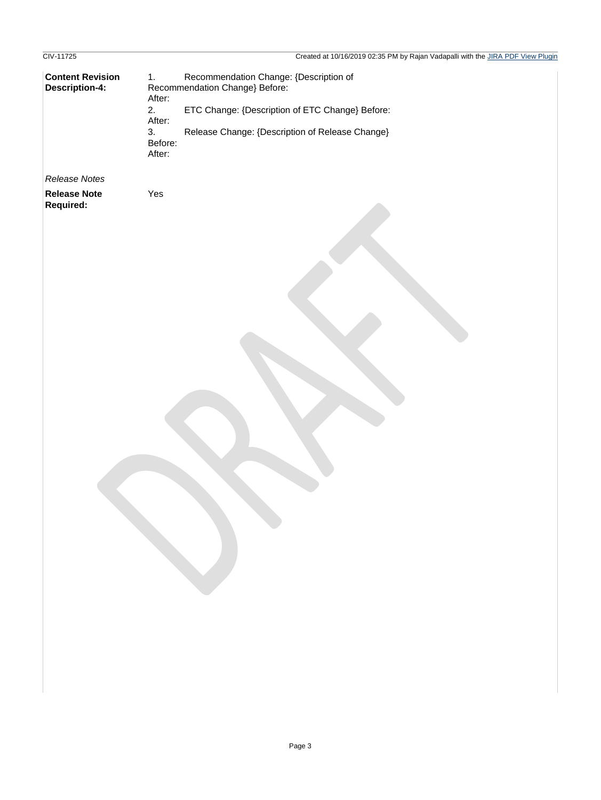## CIV-11725 Created at 10/16/2019 02:35 PM by Rajan Vadapalli with the JIRA PDF View Plugin **Content Revision Description-4:** *Release Notes* 1. Recommendation Change: {Description of Recommendation Change} Before: After: 2. ETC Change: {Description of ETC Change} Before: After: 3. Release Change: {Description of Release Change} Before: After: **Release Note Required:** Yes